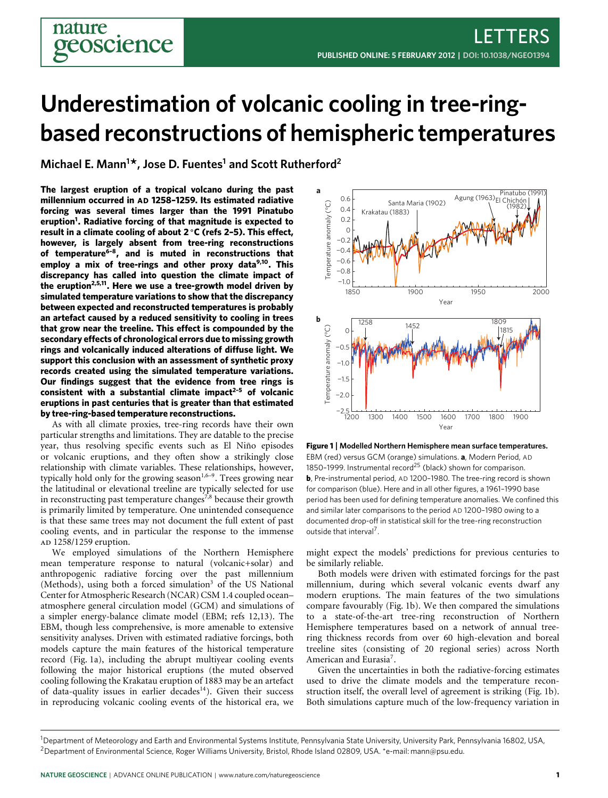# **Underestimation of volcanic cooling in tree-ringbased reconstructions of hemispheric temperatures**

**Michael E. Mann<sup>1</sup> \*, Jose D. Fuentes<sup>1</sup> and Scott Rutherford<sup>2</sup>**

**The largest eruption of a tropical volcano during the past millennium occurred in AD 1258–1259. Its estimated radiative forcing was several times larger than the 1991 Pinatubo eruption[1](#page-3-0) . Radiative forcing of that magnitude is expected to result in a climate cooling of about 2** ◦**C (refs [2–](#page-3-1)[5\)](#page-3-2). This effect, however, is largely absent from tree-ring reconstructions of temperature[6](#page-3-3)[–8](#page-3-4) , and is muted in reconstructions that employ a mix of tree-rings and other proxy data[9](#page-3-5)[,10](#page-3-6). This discrepancy has called into question the climate impact of the eruption[2](#page-3-1)[,5](#page-3-2)[,11](#page-3-7). Here we use a tree-growth model driven by simulated temperature variations to show that the discrepancy between expected and reconstructed temperatures is probably an artefact caused by a reduced sensitivity to cooling in trees that grow near the treeline. This effect is compounded by the secondary effects of chronological errors due to missing growth rings and volcanically induced alterations of diffuse light. We support this conclusion with an assessment of synthetic proxy records created using the simulated temperature variations. Our findings suggest that the evidence from tree rings is consistent with a substantial climate impact[2–](#page-3-1)[5](#page-3-2) of volcanic eruptions in past centuries that is greater than that estimated by tree-ring-based temperature reconstructions.**

As with all climate proxies, tree-ring records have their own particular strengths and limitations. They are datable to the precise year, thus resolving specific events such as El Niño episodes or volcanic eruptions, and they often show a strikingly close relationship with climate variables. These relationships, however, typically hold only for the growing season<sup>[1](#page-3-0)[,6](#page-3-3)-9</sup>. Trees growing near the latitudinal or elevational treeline are typically selected for use in reconstructing past temperature changes<sup> $7,8$  $7,8$ </sup> because their growth is primarily limited by temperature. One unintended consequence is that these same trees may not document the full extent of past cooling events, and in particular the response to the immense ad 1258/1259 eruption.

We employed simulations of the Northern Hemisphere mean temperature response to natural (volcanic+solar) and anthropogenic radiative forcing over the past millennium  $(Methods)$ , using both a forced simulation<sup>[3](#page-3-9)</sup> of the US National Center for Atmospheric Research (NCAR) CSM 1.4 coupled ocean– atmosphere general circulation model (GCM) and simulations of a simpler energy-balance climate model (EBM; refs [12](#page-3-10)[,13\)](#page-3-11). The EBM, though less comprehensive, is more amenable to extensive sensitivity analyses. Driven with estimated radiative forcings, both models capture the main features of the historical temperature record [\(Fig.](#page-0-0) [1a](#page-0-0)), including the abrupt multiyear cooling events following the major historical eruptions (the muted observed cooling following the Krakatau eruption of 1883 may be an artefact of data-quality issues in earlier decades<sup>[14](#page-3-12)</sup>). Given their success in reproducing volcanic cooling events of the historical era, we



<span id="page-0-0"></span>**Figure 1** | **Modelled Northern Hemisphere mean surface temperatures.** EBM (red) versus GCM (orange) simulations. **a**, Modern Period, AD 1850–1999. Instrumental record<sup>[25](#page-3-13)</sup> (black) shown for comparison. **b**, Pre-instrumental period, AD 1200-1980. The tree-ring record is shown for comparison (blue). Here and in all other figures, a 1961–1990 base period has been used for defining temperature anomalies. We confined this and similar later comparisons to the period AD 1200–1980 owing to a documented drop-off in statistical skill for the tree-ring reconstruction outside that interval<sup>[7](#page-3-8)</sup>.

might expect the models' predictions for previous centuries to be similarly reliable.

Both models were driven with estimated forcings for the past millennium, during which several volcanic events dwarf any modern eruptions. The main features of the two simulations compare favourably [\(Fig.](#page-0-0) [1b](#page-0-0)). We then compared the simulations to a state-of-the-art tree-ring reconstruction of Northern Hemisphere temperatures based on a network of annual treering thickness records from over 60 high-elevation and boreal treeline sites (consisting of 20 regional series) across North American and Eurasia<sup>[7](#page-3-8)</sup>.

Given the uncertainties in both the radiative-forcing estimates used to drive the climate models and the temperature reconstruction itself, the overall level of agreement is striking [\(Fig.](#page-0-0) [1b](#page-0-0)). Both simulations capture much of the low-frequency variation in

<sup>1</sup>Department of Meteorology and Earth and Environmental Systems Institute, Pennsylvania State University, University Park, Pennsylvania 16802, USA, <sup>2</sup>Department of Environmental Science, Roger Williams University, Bristol, Rhode Island 02809, USA. \*e-mail: [mann@psu.edu.](mailto:mann@psu.edu)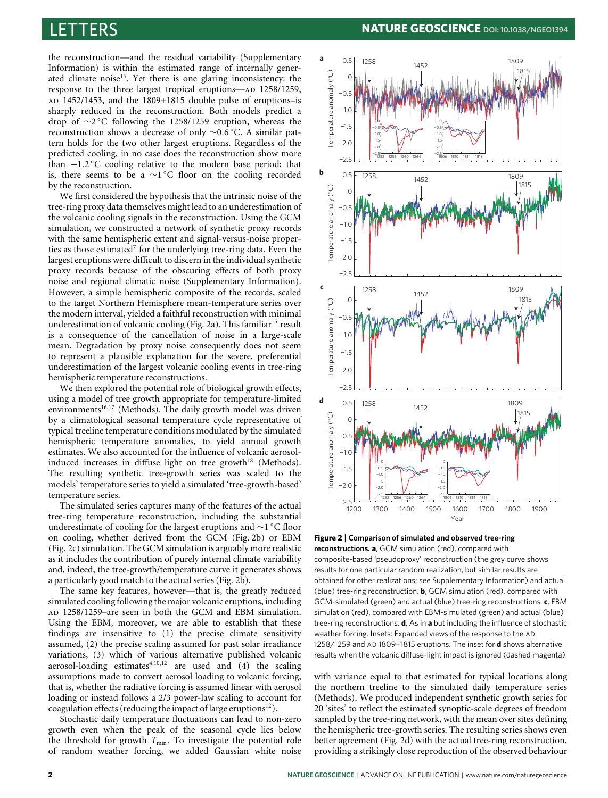the reconstruction—and the residual variability (Supplementary Information) is within the estimated range of internally gener-ated climate noise<sup>[13](#page-3-11)</sup>. Yet there is one glaring inconsistency: the response to the three largest tropical eruptions—AD 1258/1259,  $AD$  1452/1453, and the 1809+1815 double pulse of eruptions–is sharply reduced in the reconstruction. Both models predict a drop of ∼2 ◦C following the 1258/1259 eruption, whereas the reconstruction shows a decrease of only ∼0.6 ◦C. A similar pattern holds for the two other largest eruptions. Regardless of the predicted cooling, in no case does the reconstruction show more than −1.2 ◦C cooling relative to the modern base period; that is, there seems to be a ∼1 ◦C floor on the cooling recorded by the reconstruction.

We first considered the hypothesis that the intrinsic noise of the tree-ring proxy data themselves might lead to an underestimation of the volcanic cooling signals in the reconstruction. Using the GCM simulation, we constructed a network of synthetic proxy records with the same hemispheric extent and signal-versus-noise proper-ties as those estimated<sup>[7](#page-3-8)</sup> for the underlying tree-ring data. Even the largest eruptions were difficult to discern in the individual synthetic proxy records because of the obscuring effects of both proxy noise and regional climatic noise (Supplementary Information). However, a simple hemispheric composite of the records, scaled to the target Northern Hemisphere mean-temperature series over the modern interval, yielded a faithful reconstruction with minimal underestimation of volcanic cooling [\(Fig.](#page-1-0) [2a](#page-1-0)). This familiar<sup>[15](#page-3-14)</sup> result is a consequence of the cancellation of noise in a large-scale mean. Degradation by proxy noise consequently does not seem to represent a plausible explanation for the severe, preferential underestimation of the largest volcanic cooling events in tree-ring hemispheric temperature reconstructions.

We then explored the potential role of biological growth effects, using a model of tree growth appropriate for temperature-limited environments<sup>[16](#page-3-15)[,17](#page-3-16)</sup> (Methods). The daily growth model was driven by a climatological seasonal temperature cycle representative of typical treeline temperature conditions modulated by the simulated hemispheric temperature anomalies, to yield annual growth estimates. We also accounted for the influence of volcanic aerosolinduced increases in diffuse light on tree growth $18$  (Methods). The resulting synthetic tree-growth series was scaled to the models' temperature series to yield a simulated 'tree-growth-based' temperature series.

The simulated series captures many of the features of the actual tree-ring temperature reconstruction, including the substantial underestimate of cooling for the largest eruptions and ∼1 ◦C floor on cooling, whether derived from the GCM [\(Fig.](#page-1-0) [2b](#page-1-0)) or EBM [\(Fig.](#page-1-0) [2c](#page-1-0)) simulation. The GCM simulation is arguably more realistic as it includes the contribution of purely internal climate variability and, indeed, the tree-growth/temperature curve it generates shows a particularly good match to the actual series [\(Fig.](#page-1-0) [2b](#page-1-0)).

The same key features, however—that is, the greatly reduced simulated cooling following the major volcanic eruptions, including ad 1258/1259–are seen in both the GCM and EBM simulation. Using the EBM, moreover, we are able to establish that these findings are insensitive to (1) the precise climate sensitivity assumed, (2) the precise scaling assumed for past solar irradiance variations, (3) which of various alternative published volcanic aerosol-loading estimates<sup>[4,](#page-3-18)[10](#page-3-6)[,12](#page-3-10)</sup> are used and  $(4)$  the scaling assumptions made to convert aerosol loading to volcanic forcing, that is, whether the radiative forcing is assumed linear with aerosol loading or instead follows a 2/3 power-law scaling to account for coagulation effects (reducing the impact of large eruptions $12$ ).

Stochastic daily temperature fluctuations can lead to non-zero growth even when the peak of the seasonal cycle lies below the threshold for growth  $T_{\text{min}}$ . To investigate the potential role of random weather forcing, we added Gaussian white noise



<span id="page-1-0"></span>**Figure 2** | **Comparison of simulated and observed tree-ring reconstructions. a**, GCM simulation (red), compared with composite-based 'pseudoproxy' reconstruction (the grey curve shows results for one particular random realization, but similar results are obtained for other realizations; see Supplementary Information) and actual (blue) tree-ring reconstruction. **b**, GCM simulation (red), compared with GCM-simulated (green) and actual (blue) tree-ring reconstructions. **c**, EBM simulation (red), compared with EBM-simulated (green) and actual (blue) tree-ring reconstructions. **d**, As in **a** but including the influence of stochastic weather forcing. Insets: Expanded views of the response to the AD 1258/1259 and AD 1809+1815 eruptions. The inset for **d** shows alternative results when the volcanic diffuse-light impact is ignored (dashed magenta).

with variance equal to that estimated for typical locations along the northern treeline to the simulated daily temperature series (Methods). We produced independent synthetic growth series for 20 'sites' to reflect the estimated synoptic-scale degrees of freedom sampled by the tree-ring network, with the mean over sites defining the hemispheric tree-growth series. The resulting series shows even better agreement [\(Fig.](#page-1-0) [2d](#page-1-0)) with the actual tree-ring reconstruction, providing a strikingly close reproduction of the observed behaviour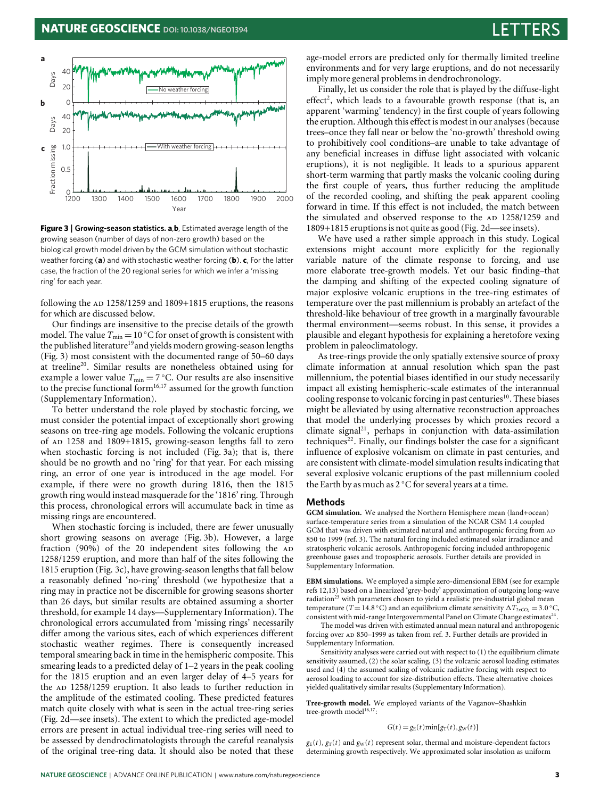## **NATURE GEOSCIENCE** DOI: 10.1038/NGE01394



<span id="page-2-0"></span>**Figure 3** | **Growing-season statistics. a**,**b**, Estimated average length of the growing season (number of days of non-zero growth) based on the biological growth model driven by the GCM simulation without stochastic weather forcing (**a**) and with stochastic weather forcing (**b**). **c**, For the latter case, the fraction of the 20 regional series for which we infer a 'missing ring' for each year.

following the  $AD$  1258/1259 and 1809+1815 eruptions, the reasons for which are discussed below.

Our findings are insensitive to the precise details of the growth model. The value  $T_{\text{min}} = 10 \degree \text{C}$  for onset of growth is consistent with the published literature<sup>[19](#page-3-19)</sup> and yields modern growing-season lengths [\(Fig.](#page-2-0) [3\)](#page-2-0) most consistent with the documented range of 50–60 days at treeline[20](#page-3-20). Similar results are nonetheless obtained using for example a lower value  $T_{\text{min}} = 7$  °C. Our results are also insensitive to the precise functional form<sup>[16](#page-3-15)[,17](#page-3-16)</sup> assumed for the growth function (Supplementary Information).

To better understand the role played by stochastic forcing, we must consider the potential impact of exceptionally short growing seasons on tree-ring age models. Following the volcanic eruptions of AD 1258 and 1809+1815, growing-season lengths fall to zero when stochastic forcing is not included [\(Fig.](#page-2-0) [3a](#page-2-0)); that is, there should be no growth and no 'ring' for that year. For each missing ring, an error of one year is introduced in the age model. For example, if there were no growth during 1816, then the 1815 growth ring would instead masquerade for the '1816' ring. Through this process, chronological errors will accumulate back in time as missing rings are encountered.

When stochastic forcing is included, there are fewer unusually short growing seasons on average [\(Fig.](#page-2-0) [3b](#page-2-0)). However, a large fraction  $(90\%)$  of the 20 independent sites following the  $AD$ 1258/1259 eruption, and more than half of the sites following the 1815 eruption [\(Fig.](#page-2-0) [3c](#page-2-0)), have growing-season lengths that fall below a reasonably defined 'no-ring' threshold (we hypothesize that a ring may in practice not be discernible for growing seasons shorter than 26 days, but similar results are obtained assuming a shorter threshold, for example 14 days—Supplementary Information). The chronological errors accumulated from 'missing rings' necessarily differ among the various sites, each of which experiences different stochastic weather regimes. There is consequently increased temporal smearing back in time in the hemispheric composite. This smearing leads to a predicted delay of 1–2 years in the peak cooling for the 1815 eruption and an even larger delay of 4–5 years for the AD 1258/1259 eruption. It also leads to further reduction in the amplitude of the estimated cooling. These predicted features match quite closely with what is seen in the actual tree-ring series [\(Fig.](#page-1-0) [2d](#page-1-0)—see insets). The extent to which the predicted age-model errors are present in actual individual tree-ring series will need to be assessed by dendroclimatologists through the careful reanalysis of the original tree-ring data. It should also be noted that these

age-model errors are predicted only for thermally limited treeline environments and for very large eruptions, and do not necessarily imply more general problems in dendrochronology.

Finally, let us consider the role that is played by the diffuse-light effect<sup>[2](#page-3-1)</sup>, which leads to a favourable growth response (that is, an apparent 'warming' tendency) in the first couple of years following the eruption. Although this effect is modest in our analyses (because trees–once they fall near or below the 'no-growth' threshold owing to prohibitively cool conditions–are unable to take advantage of any beneficial increases in diffuse light associated with volcanic eruptions), it is not negligible. It leads to a spurious apparent short-term warming that partly masks the volcanic cooling during the first couple of years, thus further reducing the amplitude of the recorded cooling, and shifting the peak apparent cooling forward in time. If this effect is not included, the match between the simulated and observed response to the AD 1258/1259 and 1809+1815 eruptions is not quite as good [\(Fig.](#page-1-0) [2d](#page-1-0)—see insets).

We have used a rather simple approach in this study. Logical extensions might account more explicitly for the regionally variable nature of the climate response to forcing, and use more elaborate tree-growth models. Yet our basic finding–that the damping and shifting of the expected cooling signature of major explosive volcanic eruptions in the tree-ring estimates of temperature over the past millennium is probably an artefact of the threshold-like behaviour of tree growth in a marginally favourable thermal environment—seems robust. In this sense, it provides a plausible and elegant hypothesis for explaining a heretofore vexing problem in paleoclimatology.

As tree-rings provide the only spatially extensive source of proxy climate information at annual resolution which span the past millennium, the potential biases identified in our study necessarily impact all existing hemispheric-scale estimates of the interannual cooling response to volcanic forcing in past centuries<sup>[10](#page-3-6)</sup>. These biases might be alleviated by using alternative reconstruction approaches that model the underlying processes by which proxies record a climate signal<sup>[21](#page-3-21)</sup>, perhaps in conjunction with data-assimilation techniques<sup>[22](#page-3-22)</sup>. Finally, our findings bolster the case for a significant influence of explosive volcanism on climate in past centuries, and are consistent with climate-model simulation results indicating that several explosive volcanic eruptions of the past millennium cooled the Earth by as much as  $2^{\circ}$ C for several years at a time.

### **Methods**

**GCM simulation.** We analysed the Northern Hemisphere mean (land+ocean) surface-temperature series from a simulation of the NCAR CSM 1.4 coupled GCM that was driven with estimated natural and anthropogenic forcing from AD 850 to 1999 (ref. [3\)](#page-3-9). The natural forcing included estimated solar irradiance and stratospheric volcanic aerosols. Anthropogenic forcing included anthropogenic greenhouse gases and tropospheric aerosols. Further details are provided in Supplementary Information.

**EBM simulations.** We employed a simple zero-dimensional EBM (see for example refs [12,](#page-3-10)[13\)](#page-3-11) based on a linearized 'grey-body' approximation of outgoing long-wave radiation<sup>[23](#page-3-23)</sup> with parameters chosen to yield a realistic pre-industrial global mean temperature (*T* = 14.8 °C) and an equilibrium climate sensitivity  $\Delta T_{2xCO_2}$  = 3.0 °C, consistent with mid-range Intergovernmental Panel on Climate Change estimates<sup>[24](#page-3-24)</sup>.

The model was driven with estimated annual mean natural and anthropogenic forcing over AD 850-1999 as taken from ref. [3.](#page-3-9) Further details are provided in Supplementary Information.

Sensitivity analyses were carried out with respect to (1) the equilibrium climate sensitivity assumed, (2) the solar scaling, (3) the volcanic aerosol loading estimates used and (4) the assumed scaling of volcanic radiative forcing with respect to aerosol loading to account for size-distribution effects. These alternative choices yielded qualitatively similar results (Supplementary Information).

**Tree-growth model.** We employed variants of the Vaganov–Shashkin tree-growth model<sup>[16](#page-3-15)[,17](#page-3-16)</sup>:

 $G(t) = g_E(t) \min[g_T(t), g_W(t)]$ 

 $g_{\text{E}}(t)$ ,  $g_{\text{T}}(t)$  and  $g_{\text{W}}(t)$  represent solar, thermal and moisture-dependent factors determining growth respectively. We approximated solar insolation as uniform